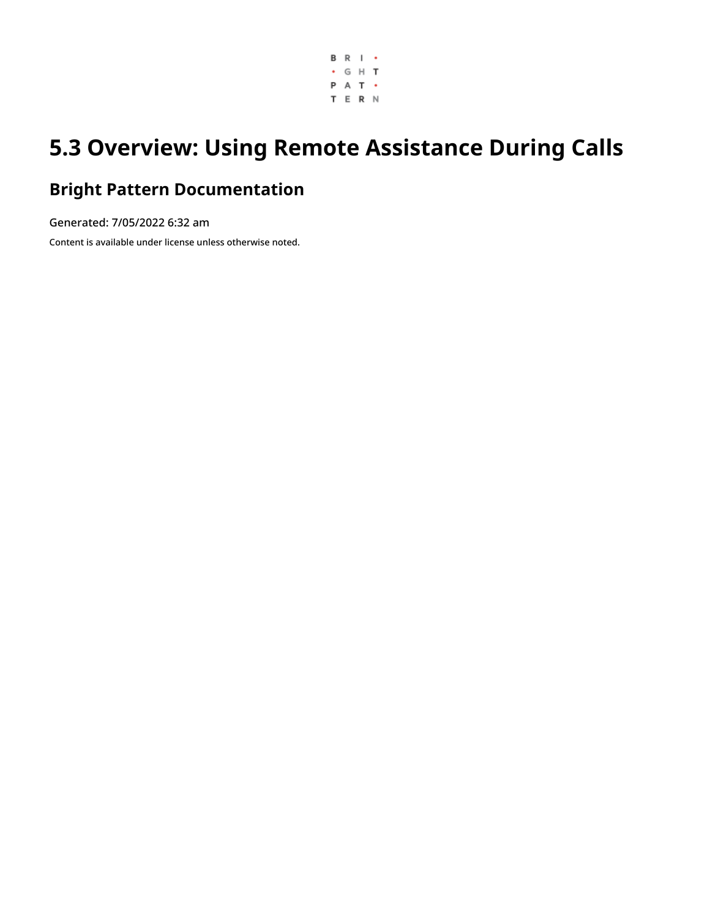

# **5.3 Overview: Using Remote Assistance During Calls**

### **Bright Pattern Documentation**

Generated: 7/05/2022 6:32 am Content is available under license unless otherwise noted.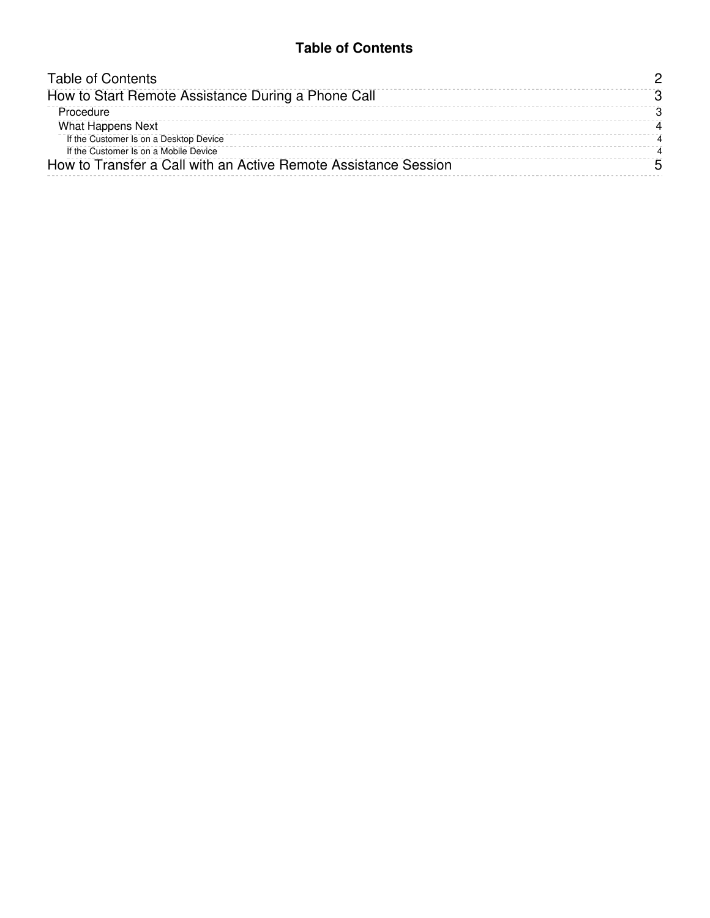#### **Table of Contents**

<span id="page-1-0"></span>

| How to Start Remote Assistance During a Phone Call<br>Procedure | <b>Table of Contents</b> |
|-----------------------------------------------------------------|--------------------------|
|                                                                 |                          |
|                                                                 |                          |
| What Happens Next                                               |                          |
| If the Customer Is on a Desktop Device                          |                          |
| If the Customer Is on a Mobile Device                           |                          |
| How to Transfer a Call with an Active Remote Assistance Session |                          |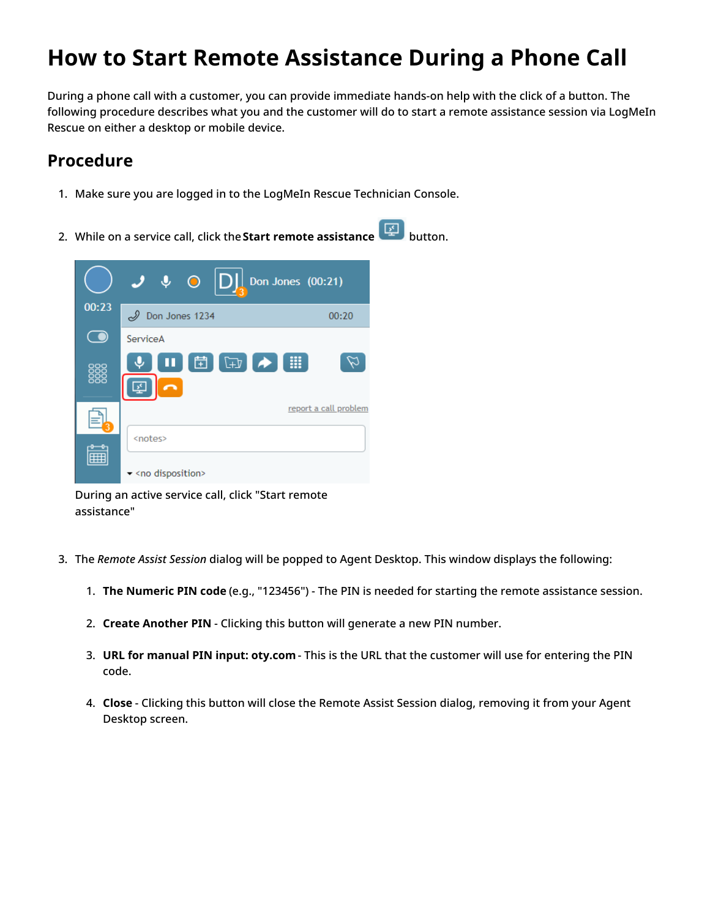## <span id="page-2-0"></span>**How to Start Remote Assistance During a Phone Call**

During a phone call with a customer, you can provide immediate hands-on help with the click of a button. The following procedure describes what you and the customer will do to start a remote assistance session via LogMeIn Rescue on either a desktop or mobile device.

### <span id="page-2-1"></span>**Procedure**

- 1. Make sure you are logged in to the LogMeIn Rescue Technician Console.
- 2. While on a service call, click the**Start remote assistance** button.



During an active service call, click "Start remote assistance"

- 3. The *Remote Assist Session* dialog will be popped to Agent Desktop. This window displays the following:
	- 1. **The Numeric PIN code** (e.g., "123456") The PIN is needed for starting the remote assistance session.
	- 2. **Create Another PIN** Clicking this button will generate a new PIN number.
	- 3. **URL for manual PIN input: oty.com** This is the URL that the customer will use for entering the PIN code.
	- 4. **Close** Clicking this button will close the Remote Assist Session dialog, removing it from your Agent Desktop screen.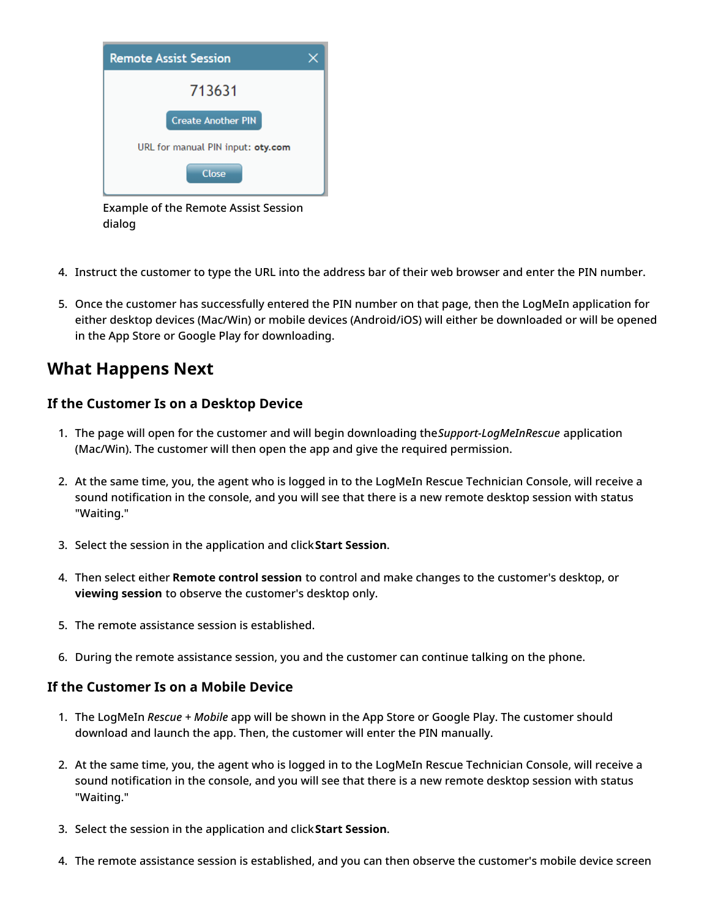

Example of the Remote Assist Session dialog

- 4. Instruct the customer to type the URL into the address bar of their web browser and enter the PIN number.
- 5. Once the customer has successfully entered the PIN number on that page, then the LogMeIn application for either desktop devices (Mac/Win) or mobile devices (Android/iOS) will either be downloaded or will be opened in the App Store or Google Play for downloading.

### <span id="page-3-0"></span>**What Happens Next**

#### <span id="page-3-1"></span>**If the Customer Is on a Desktop Device**

- 1. The page will open for the customer and will begin downloading the*Support-LogMeInRescue* application (Mac/Win). The customer will then open the app and give the required permission.
- 2. At the same time, you, the agent who is logged in to the LogMeIn Rescue Technician Console, will receive a sound notification in the console, and you will see that there is a new remote desktop session with status "Waiting."
- 3. Select the session in the application and click**Start Session**.
- 4. Then select either **Remote control session** to control and make changes to the customer's desktop, or **viewing session** to observe the customer's desktop only.
- 5. The remote assistance session is established.
- 6. During the remote assistance session, you and the customer can continue talking on the phone.

#### <span id="page-3-2"></span>**If the Customer Is on a Mobile Device**

- 1. The LogMeIn *Rescue + Mobile* app will be shown in the App Store or Google Play. The customer should download and launch the app. Then, the customer will enter the PIN manually.
- 2. At the same time, you, the agent who is logged in to the LogMeIn Rescue Technician Console, will receive a sound notification in the console, and you will see that there is a new remote desktop session with status "Waiting."
- 3. Select the session in the application and click**Start Session**.
- 4. The remote assistance session is established, and you can then observe the customer's mobile device screen